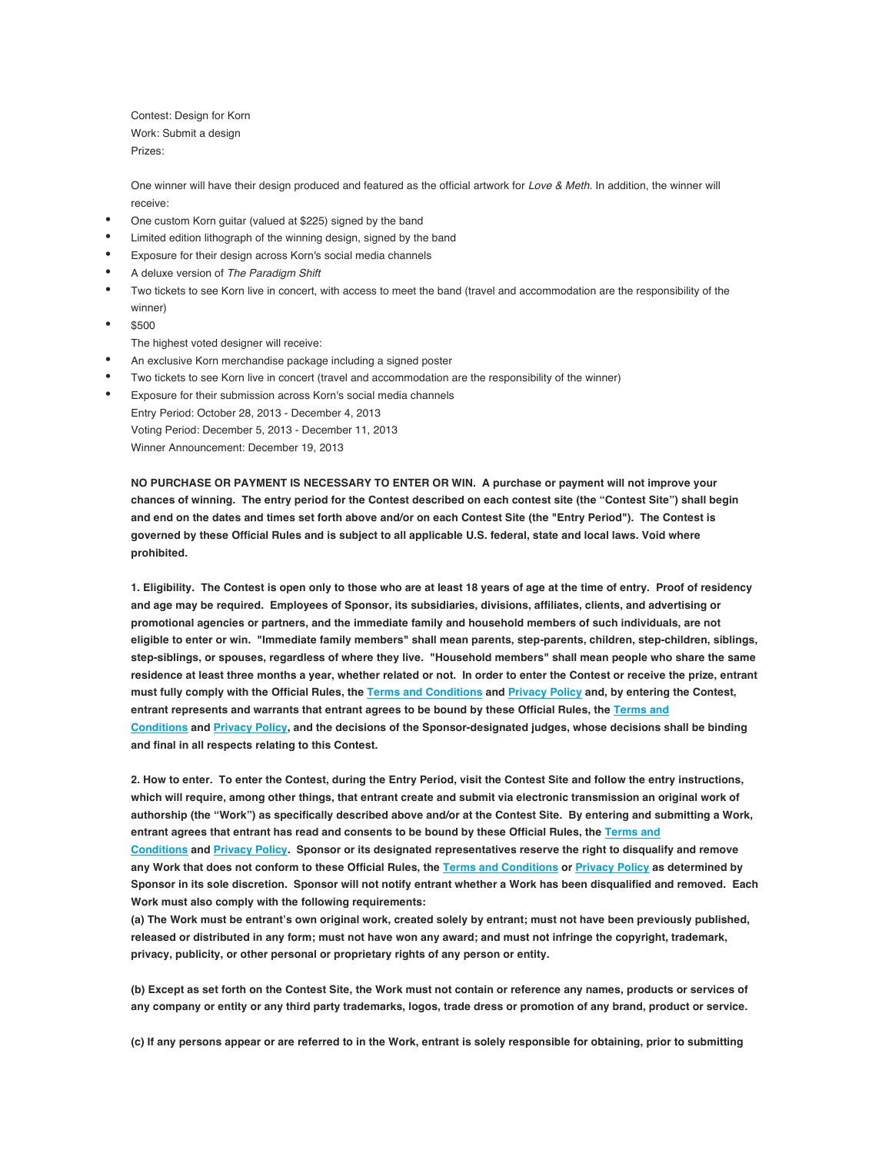Contest: Design for Korn Work: Submit a design Prizes:

One winner will have their design produced and featured as the official artwork for *Love & Meth*. In addition, the winner will receive:

- One custom Korn guitar (valued at \$225) signed by the band
- Limited edition lithograph of the winning design, signed by the band
- Exposure for their design across Korn's social media channels
- A deluxe version of *The Paradigm Shift*
- Two tickets to see Korn live in concert, with access to meet the band (travel and accommodation are the responsibility of the winner)
- \$500

The highest voted designer will receive:

- An exclusive Korn merchandise package including a signed poster
- Two tickets to see Korn live in concert (travel and accommodation are the responsibility of the winner)
- Exposure for their submission across Korn's social media channels Entry Period: October 28, 2013 - December 4, 2013 Voting Period: December 5, 2013 - December 11, 2013

Winner Announcement: December 19, 2013

**NO PURCHASE OR PAYMENT IS NECESSARY TO ENTER OR WIN. A purchase or payment will not improve your chances of winning. The entry period for the Contest described on each contest site (the "Contest Site") shall begin and end on the dates and times set forth above and/or on each Contest Site (the "Entry Period"). The Contest is governed by these Official Rules and is subject to all applicable U.S. federal, state and local laws. Void where prohibited.**

**1. Eligibility. The Contest is open only to those who are at least 18 years of age at the time of entry. Proof of residency and age may be required. Employees of Sponsor, its subsidiaries, divisions, affiliates, clients, and advertising or promotional agencies or partners, and the immediate family and household members of such individuals, are not eligible to enter or win. "Immediate family members" shall mean parents, step-parents, children, step-children, siblings, step-siblings, or spouses, regardless of where they live. "Household members" shall mean people who share the same residence at least three months a year, whether related or not. In order to enter the Contest or receive the prize, entrant must fully comply with the Official Rules, the Terms and Conditions and Privacy Policy and, by entering the Contest, entrant represents and warrants that entrant agrees to be bound by these Official Rules, the Terms and Conditions and Privacy Policy, and the decisions of the Sponsor-designated judges, whose decisions shall be binding and final in all respects relating to this Contest.**

**2. How to enter. To enter the Contest, during the Entry Period, visit the Contest Site and follow the entry instructions, which will require, among other things, that entrant create and submit via electronic transmission an original work of authorship (the "Work") as specifically described above and/or at the Contest Site. By entering and submitting a Work, entrant agrees that entrant has read and consents to be bound by these Official Rules, the Terms and Conditions and Privacy Policy. Sponsor or its designated representatives reserve the right to disqualify and remove any Work that does not conform to these Official Rules, the Terms and Conditions or Privacy Policy as determined by Sponsor in its sole discretion. Sponsor will not notify entrant whether a Work has been disqualified and removed. Each Work must also comply with the following requirements:**

**(a) The Work must be entrant's own original work, created solely by entrant; must not have been previously published, released or distributed in any form; must not have won any award; and must not infringe the copyright, trademark, privacy, publicity, or other personal or proprietary rights of any person or entity.**

**(b) Except as set forth on the Contest Site, the Work must not contain or reference any names, products or services of any company or entity or any third party trademarks, logos, trade dress or promotion of any brand, product or service.**

**(c) If any persons appear or are referred to in the Work, entrant is solely responsible for obtaining, prior to submitting**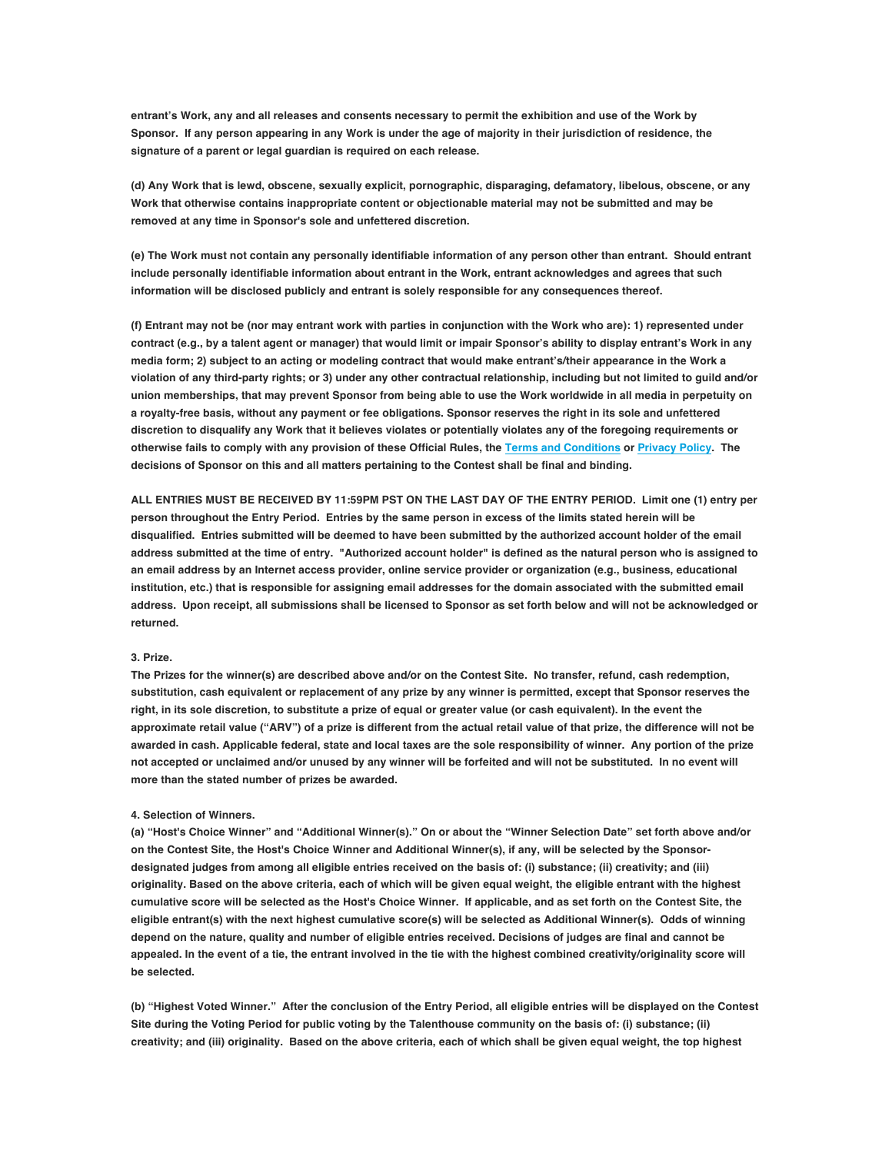**entrant's Work, any and all releases and consents necessary to permit the exhibition and use of the Work by Sponsor. If any person appearing in any Work is under the age of majority in their jurisdiction of residence, the signature of a parent or legal guardian is required on each release.**

**(d) Any Work that is lewd, obscene, sexually explicit, pornographic, disparaging, defamatory, libelous, obscene, or any Work that otherwise contains inappropriate content or objectionable material may not be submitted and may be removed at any time in Sponsor's sole and unfettered discretion.**

**(e) The Work must not contain any personally identifiable information of any person other than entrant. Should entrant include personally identifiable information about entrant in the Work, entrant acknowledges and agrees that such information will be disclosed publicly and entrant is solely responsible for any consequences thereof.**

**(f) Entrant may not be (nor may entrant work with parties in conjunction with the Work who are): 1) represented under contract (e.g., by a talent agent or manager) that would limit or impair Sponsor's ability to display entrant's Work in any media form; 2) subject to an acting or modeling contract that would make entrant's/their appearance in the Work a violation of any third-party rights; or 3) under any other contractual relationship, including but not limited to guild and/or union memberships, that may prevent Sponsor from being able to use the Work worldwide in all media in perpetuity on a royalty-free basis, without any payment or fee obligations. Sponsor reserves the right in its sole and unfettered discretion to disqualify any Work that it believes violates or potentially violates any of the foregoing requirements or otherwise fails to comply with any provision of these Official Rules, the Terms and Conditions or Privacy Policy. The decisions of Sponsor on this and all matters pertaining to the Contest shall be final and binding.**

**ALL ENTRIES MUST BE RECEIVED BY 11:59PM PST ON THE LAST DAY OF THE ENTRY PERIOD. Limit one (1) entry per person throughout the Entry Period. Entries by the same person in excess of the limits stated herein will be disqualified. Entries submitted will be deemed to have been submitted by the authorized account holder of the email address submitted at the time of entry. "Authorized account holder" is defined as the natural person who is assigned to an email address by an Internet access provider, online service provider or organization (e.g., business, educational institution, etc.) that is responsible for assigning email addresses for the domain associated with the submitted email address. Upon receipt, all submissions shall be licensed to Sponsor as set forth below and will not be acknowledged or returned.**

## **3. Prize.**

**The Prizes for the winner(s) are described above and/or on the Contest Site. No transfer, refund, cash redemption, substitution, cash equivalent or replacement of any prize by any winner is permitted, except that Sponsor reserves the right, in its sole discretion, to substitute a prize of equal or greater value (or cash equivalent). In the event the approximate retail value ("ARV") of a prize is different from the actual retail value of that prize, the difference will not be awarded in cash. Applicable federal, state and local taxes are the sole responsibility of winner. Any portion of the prize not accepted or unclaimed and/or unused by any winner will be forfeited and will not be substituted. In no event will more than the stated number of prizes be awarded.**

## **4. Selection of Winners.**

**(a) "Host's Choice Winner" and "Additional Winner(s)." On or about the "Winner Selection Date" set forth above and/or on the Contest Site, the Host's Choice Winner and Additional Winner(s), if any, will be selected by the Sponsordesignated judges from among all eligible entries received on the basis of: (i) substance; (ii) creativity; and (iii) originality. Based on the above criteria, each of which will be given equal weight, the eligible entrant with the highest cumulative score will be selected as the Host's Choice Winner. If applicable, and as set forth on the Contest Site, the eligible entrant(s) with the next highest cumulative score(s) will be selected as Additional Winner(s). Odds of winning depend on the nature, quality and number of eligible entries received. Decisions of judges are final and cannot be appealed. In the event of a tie, the entrant involved in the tie with the highest combined creativity/originality score will be selected.**

**(b) "Highest Voted Winner." After the conclusion of the Entry Period, all eligible entries will be displayed on the Contest Site during the Voting Period for public voting by the Talenthouse community on the basis of: (i) substance; (ii) creativity; and (iii) originality. Based on the above criteria, each of which shall be given equal weight, the top highest**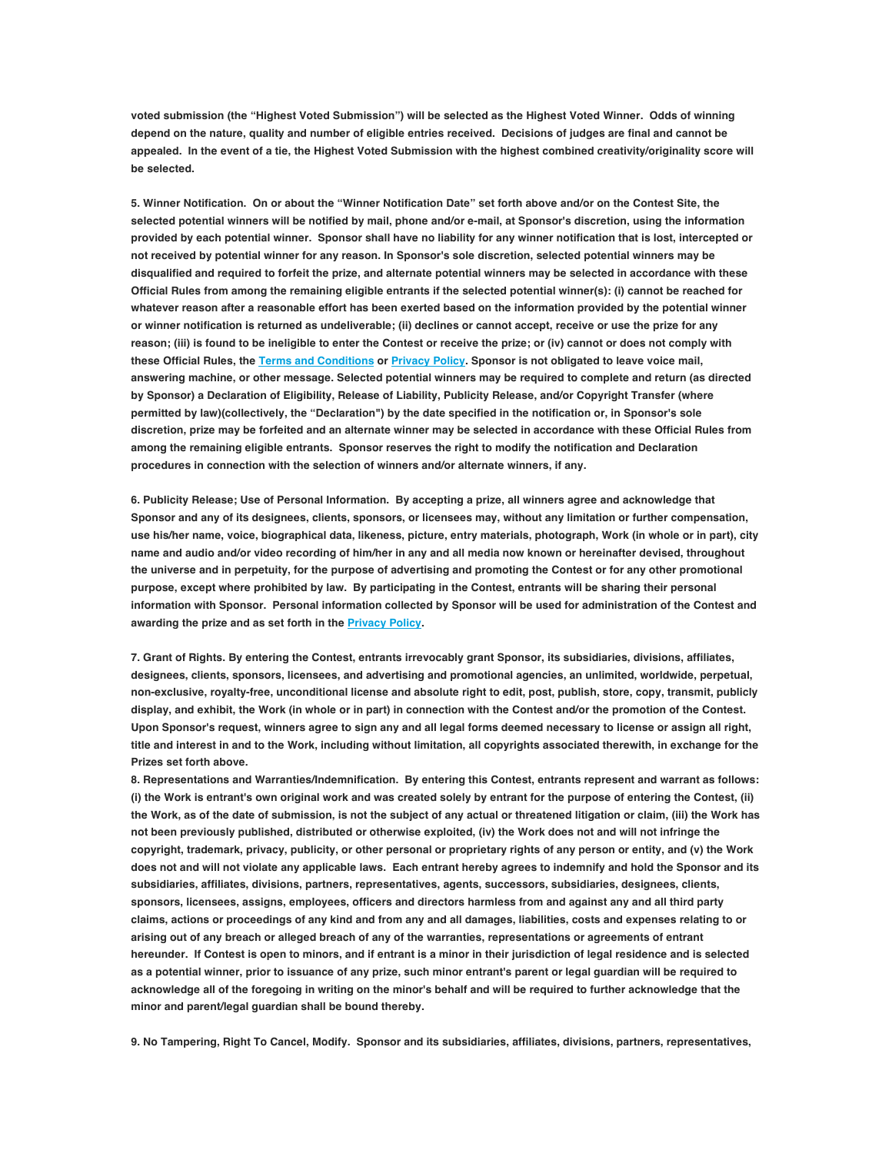**voted submission (the "Highest Voted Submission") will be selected as the Highest Voted Winner. Odds of winning depend on the nature, quality and number of eligible entries received. Decisions of judges are final and cannot be appealed. In the event of a tie, the Highest Voted Submission with the highest combined creativity/originality score will be selected.**

**5. Winner Notification. On or about the "Winner Notification Date" set forth above and/or on the Contest Site, the selected potential winners will be notified by mail, phone and/or e-mail, at Sponsor's discretion, using the information provided by each potential winner. Sponsor shall have no liability for any winner notification that is lost, intercepted or not received by potential winner for any reason. In Sponsor's sole discretion, selected potential winners may be disqualified and required to forfeit the prize, and alternate potential winners may be selected in accordance with these Official Rules from among the remaining eligible entrants if the selected potential winner(s): (i) cannot be reached for whatever reason after a reasonable effort has been exerted based on the information provided by the potential winner or winner notification is returned as undeliverable; (ii) declines or cannot accept, receive or use the prize for any reason; (iii) is found to be ineligible to enter the Contest or receive the prize; or (iv) cannot or does not comply with these Official Rules, the Terms and Conditions or Privacy Policy. Sponsor is not obligated to leave voice mail, answering machine, or other message. Selected potential winners may be required to complete and return (as directed by Sponsor) a Declaration of Eligibility, Release of Liability, Publicity Release, and/or Copyright Transfer (where permitted by law)(collectively, the "Declaration") by the date specified in the notification or, in Sponsor's sole discretion, prize may be forfeited and an alternate winner may be selected in accordance with these Official Rules from among the remaining eligible entrants. Sponsor reserves the right to modify the notification and Declaration procedures in connection with the selection of winners and/or alternate winners, if any.**

**6. Publicity Release; Use of Personal Information. By accepting a prize, all winners agree and acknowledge that Sponsor and any of its designees, clients, sponsors, or licensees may, without any limitation or further compensation, use his/her name, voice, biographical data, likeness, picture, entry materials, photograph, Work (in whole or in part), city name and audio and/or video recording of him/her in any and all media now known or hereinafter devised, throughout the universe and in perpetuity, for the purpose of advertising and promoting the Contest or for any other promotional purpose, except where prohibited by law. By participating in the Contest, entrants will be sharing their personal information with Sponsor. Personal information collected by Sponsor will be used for administration of the Contest and awarding the prize and as set forth in the Privacy Policy.**

**7. Grant of Rights. By entering the Contest, entrants irrevocably grant Sponsor, its subsidiaries, divisions, affiliates, designees, clients, sponsors, licensees, and advertising and promotional agencies, an unlimited, worldwide, perpetual, non-exclusive, royalty-free, unconditional license and absolute right to edit, post, publish, store, copy, transmit, publicly display, and exhibit, the Work (in whole or in part) in connection with the Contest and/or the promotion of the Contest. Upon Sponsor's request, winners agree to sign any and all legal forms deemed necessary to license or assign all right, title and interest in and to the Work, including without limitation, all copyrights associated therewith, in exchange for the Prizes set forth above.**

**8. Representations and Warranties/Indemnification. By entering this Contest, entrants represent and warrant as follows: (i) the Work is entrant's own original work and was created solely by entrant for the purpose of entering the Contest, (ii) the Work, as of the date of submission, is not the subject of any actual or threatened litigation or claim, (iii) the Work has not been previously published, distributed or otherwise exploited, (iv) the Work does not and will not infringe the copyright, trademark, privacy, publicity, or other personal or proprietary rights of any person or entity, and (v) the Work does not and will not violate any applicable laws. Each entrant hereby agrees to indemnify and hold the Sponsor and its subsidiaries, affiliates, divisions, partners, representatives, agents, successors, subsidiaries, designees, clients, sponsors, licensees, assigns, employees, officers and directors harmless from and against any and all third party claims, actions or proceedings of any kind and from any and all damages, liabilities, costs and expenses relating to or arising out of any breach or alleged breach of any of the warranties, representations or agreements of entrant hereunder. If Contest is open to minors, and if entrant is a minor in their jurisdiction of legal residence and is selected as a potential winner, prior to issuance of any prize, such minor entrant's parent or legal guardian will be required to acknowledge all of the foregoing in writing on the minor's behalf and will be required to further acknowledge that the minor and parent/legal guardian shall be bound thereby.**

**9. No Tampering, Right To Cancel, Modify. Sponsor and its subsidiaries, affiliates, divisions, partners, representatives,**